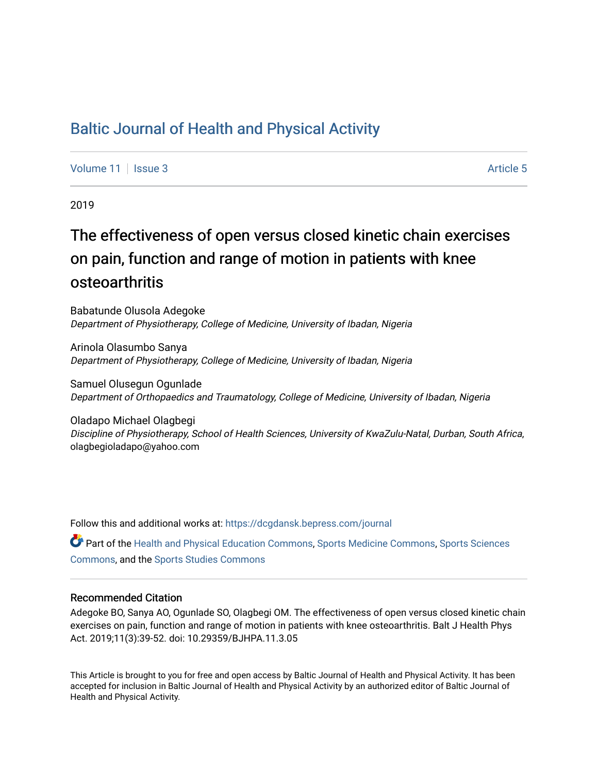## [Baltic Journal of Health and Physical Activity](https://dcgdansk.bepress.com/journal)

[Volume 11](https://dcgdansk.bepress.com/journal/vol11) | [Issue 3](https://dcgdansk.bepress.com/journal/vol11/iss3) Article 5

2019

# The effectiveness of open versus closed kinetic chain exercises on pain, function and range of motion in patients with knee osteoarthritis

Babatunde Olusola Adegoke Department of Physiotherapy, College of Medicine, University of Ibadan, Nigeria

Arinola Olasumbo Sanya Department of Physiotherapy, College of Medicine, University of Ibadan, Nigeria

Samuel Olusegun Ogunlade Department of Orthopaedics and Traumatology, College of Medicine, University of Ibadan, Nigeria

Oladapo Michael Olagbegi Discipline of Physiotherapy, School of Health Sciences, University of KwaZulu-Natal, Durban, South Africa, olagbegioladapo@yahoo.com

Follow this and additional works at: [https://dcgdansk.bepress.com/journal](https://dcgdansk.bepress.com/journal?utm_source=dcgdansk.bepress.com%2Fjournal%2Fvol11%2Fiss3%2F5&utm_medium=PDF&utm_campaign=PDFCoverPages)

Part of the [Health and Physical Education Commons](http://network.bepress.com/hgg/discipline/1327?utm_source=dcgdansk.bepress.com%2Fjournal%2Fvol11%2Fiss3%2F5&utm_medium=PDF&utm_campaign=PDFCoverPages), [Sports Medicine Commons,](http://network.bepress.com/hgg/discipline/1331?utm_source=dcgdansk.bepress.com%2Fjournal%2Fvol11%2Fiss3%2F5&utm_medium=PDF&utm_campaign=PDFCoverPages) [Sports Sciences](http://network.bepress.com/hgg/discipline/759?utm_source=dcgdansk.bepress.com%2Fjournal%2Fvol11%2Fiss3%2F5&utm_medium=PDF&utm_campaign=PDFCoverPages) [Commons](http://network.bepress.com/hgg/discipline/759?utm_source=dcgdansk.bepress.com%2Fjournal%2Fvol11%2Fiss3%2F5&utm_medium=PDF&utm_campaign=PDFCoverPages), and the [Sports Studies Commons](http://network.bepress.com/hgg/discipline/1198?utm_source=dcgdansk.bepress.com%2Fjournal%2Fvol11%2Fiss3%2F5&utm_medium=PDF&utm_campaign=PDFCoverPages) 

#### Recommended Citation

Adegoke BO, Sanya AO, Ogunlade SO, Olagbegi OM. The effectiveness of open versus closed kinetic chain exercises on pain, function and range of motion in patients with knee osteoarthritis. Balt J Health Phys Act. 2019;11(3):39-52. doi: 10.29359/BJHPA.11.3.05

This Article is brought to you for free and open access by Baltic Journal of Health and Physical Activity. It has been accepted for inclusion in Baltic Journal of Health and Physical Activity by an authorized editor of Baltic Journal of Health and Physical Activity.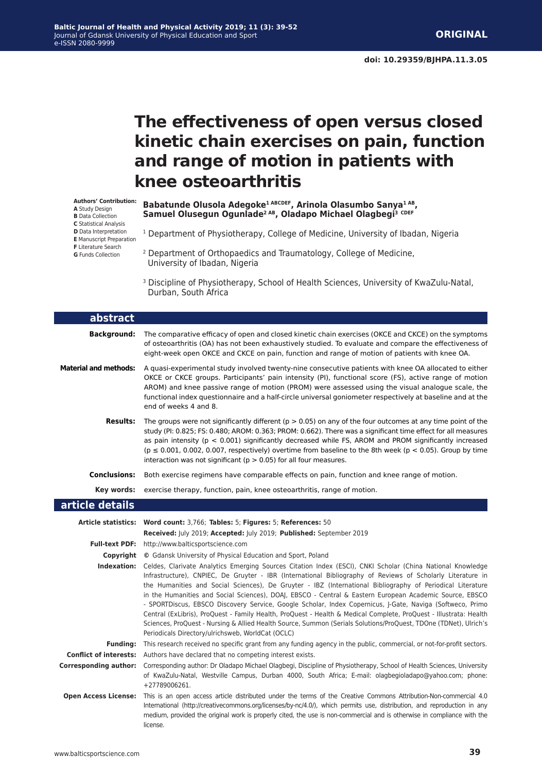# **The effectiveness of open versus closed kinetic chain exercises on pain, function and range of motion in patients with knee osteoarthritis**

**Authors' Contribution:**

- **A** Study Design
- **B** Data Collection
- **C** Statistical Analysis
- **D** Data Interpretation
- **E** Manuscript Preparation **F** Literature Search
- 
- **G** Funds Collection
- 2 Department of Orthopaedics and Traumatology, College of Medicine, University of Ibadan, Nigeria

Babatunde Olusola Adegoke<sup>1 ABCDEF</sup>, Arinola Olasumbo Sanya<sup>1 AB</sup>, **Samuel Olusegun Ogunlade2 AB, Oladapo Michael Olagbegi3 CDEF** 

<sup>3</sup> Discipline of Physiotherapy, School of Health Sciences, University of KwaZulu-Natal, Durban, South Africa

<sup>1</sup> Department of Physiotherapy, College of Medicine, University of Ibadan, Nigeria

| abstract                     |                                                                                                                                                                                                                                                                                                                                                                                                                                                                                                                                                                                                                                                                                                                                                                                                                                                                           |  |  |
|------------------------------|---------------------------------------------------------------------------------------------------------------------------------------------------------------------------------------------------------------------------------------------------------------------------------------------------------------------------------------------------------------------------------------------------------------------------------------------------------------------------------------------------------------------------------------------------------------------------------------------------------------------------------------------------------------------------------------------------------------------------------------------------------------------------------------------------------------------------------------------------------------------------|--|--|
| <b>Background:</b>           | The comparative efficacy of open and closed kinetic chain exercises (OKCE and CKCE) on the symptoms<br>of osteoarthritis (OA) has not been exhaustively studied. To evaluate and compare the effectiveness of<br>eight-week open OKCE and CKCE on pain, function and range of motion of patients with knee OA.                                                                                                                                                                                                                                                                                                                                                                                                                                                                                                                                                            |  |  |
| <b>Material and methods:</b> | A quasi-experimental study involved twenty-nine consecutive patients with knee OA allocated to either<br>OKCE or CKCE groups. Participants' pain intensity (PI), functional score (FS), active range of motion<br>AROM) and knee passive range of motion (PROM) were assessed using the visual analogue scale, the<br>functional index questionnaire and a half-circle universal goniometer respectively at baseline and at the<br>end of weeks 4 and 8.                                                                                                                                                                                                                                                                                                                                                                                                                  |  |  |
| <b>Results:</b>              | The groups were not significantly different ( $p > 0.05$ ) on any of the four outcomes at any time point of the<br>study (PI: 0.825; FS: 0.480; AROM: 0.363; PROM: 0.662). There was a significant time effect for all measures<br>as pain intensity ( $p < 0.001$ ) significantly decreased while FS, AROM and PROM significantly increased<br>( $p \le 0.001$ , 0.002, 0.007, respectively) overtime from baseline to the 8th week ( $p < 0.05$ ). Group by time<br>interaction was not significant ( $p > 0.05$ ) for all four measures.                                                                                                                                                                                                                                                                                                                               |  |  |
| Conclusions:                 | Both exercise regimens have comparable effects on pain, function and knee range of motion.                                                                                                                                                                                                                                                                                                                                                                                                                                                                                                                                                                                                                                                                                                                                                                                |  |  |
|                              | <b>Key words:</b> exercise therapy, function, pain, knee osteoarthritis, range of motion.                                                                                                                                                                                                                                                                                                                                                                                                                                                                                                                                                                                                                                                                                                                                                                                 |  |  |
| article details              |                                                                                                                                                                                                                                                                                                                                                                                                                                                                                                                                                                                                                                                                                                                                                                                                                                                                           |  |  |
|                              | Article statistics: Word count: 3,766; Tables: 5; Figures: 5; References: 50                                                                                                                                                                                                                                                                                                                                                                                                                                                                                                                                                                                                                                                                                                                                                                                              |  |  |
|                              | Received: July 2019; Accepted: July 2019; Published: September 2019                                                                                                                                                                                                                                                                                                                                                                                                                                                                                                                                                                                                                                                                                                                                                                                                       |  |  |
|                              | Full-text PDF: http://www.balticsportscience.com                                                                                                                                                                                                                                                                                                                                                                                                                                                                                                                                                                                                                                                                                                                                                                                                                          |  |  |
|                              | <b>Copyright</b> © Gdansk University of Physical Education and Sport, Poland                                                                                                                                                                                                                                                                                                                                                                                                                                                                                                                                                                                                                                                                                                                                                                                              |  |  |
|                              | Indexation: Celdes, Clarivate Analytics Emerging Sources Citation Index (ESCI), CNKI Scholar (China National Knowledge<br>Infrastructure), CNPIEC, De Gruyter - IBR (International Bibliography of Reviews of Scholarly Literature in<br>the Humanities and Social Sciences), De Gruyter - IBZ (International Bibliography of Periodical Literature<br>in the Humanities and Social Sciences), DOAJ, EBSCO - Central & Eastern European Academic Source, EBSCO<br>- SPORTDiscus, EBSCO Discovery Service, Google Scholar, Index Copernicus, J-Gate, Naviga (Softweco, Primo<br>Central (ExLibris), ProQuest - Family Health, ProQuest - Health & Medical Complete, ProQuest - Illustrata: Health<br>Sciences, ProQuest - Nursing & Allied Health Source, Summon (Serials Solutions/ProQuest, TDOne (TDNet), Ulrich's<br>Periodicals Directory/ulrichsweb, WorldCat (OCLC) |  |  |
| <b>Funding:</b>              | This research received no specific grant from any funding agency in the public, commercial, or not-for-profit sectors.                                                                                                                                                                                                                                                                                                                                                                                                                                                                                                                                                                                                                                                                                                                                                    |  |  |
|                              | <b>Conflict of interests:</b> Authors have declared that no competing interest exists.                                                                                                                                                                                                                                                                                                                                                                                                                                                                                                                                                                                                                                                                                                                                                                                    |  |  |
| <b>Corresponding author:</b> | Corresponding author: Dr Oladapo Michael Olagbegi, Discipline of Physiotherapy, School of Health Sciences, University<br>of KwaZulu-Natal, Westville Campus, Durban 4000, South Africa; E-mail: olagbegioladapo@yahoo.com; phone:<br>+27789006261.                                                                                                                                                                                                                                                                                                                                                                                                                                                                                                                                                                                                                        |  |  |
| <b>Open Access License:</b>  | This is an open access article distributed under the terms of the Creative Commons Attribution-Non-commercial 4.0<br>International (http://creativecommons.org/licenses/by-nc/4.0/), which permits use, distribution, and reproduction in any<br>medium, provided the original work is properly cited, the use is non-commercial and is otherwise in compliance with the<br>license.                                                                                                                                                                                                                                                                                                                                                                                                                                                                                      |  |  |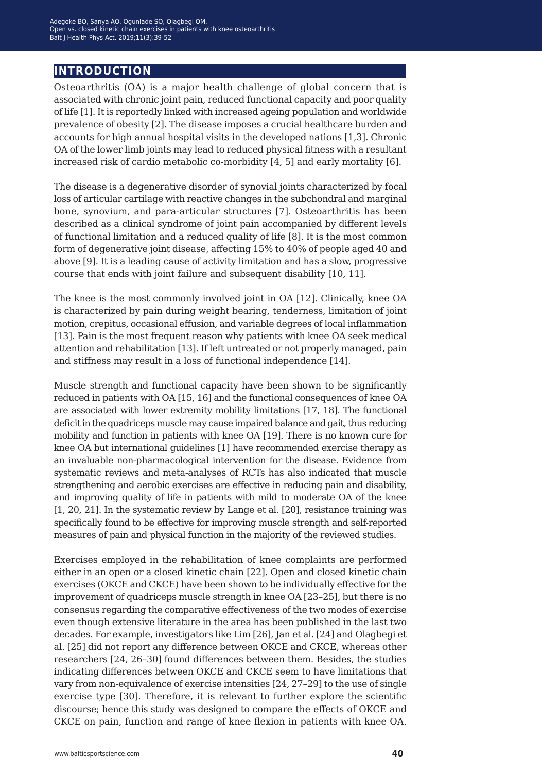### **introduction**

Osteoarthritis (OA) is a major health challenge of global concern that is associated with chronic joint pain, reduced functional capacity and poor quality of life [1]. It is reportedly linked with increased ageing population and worldwide prevalence of obesity [2]. The disease imposes a crucial healthcare burden and accounts for high annual hospital visits in the developed nations [1,3]. Chronic OA of the lower limb joints may lead to reduced physical fitness with a resultant increased risk of cardio metabolic co-morbidity [4, 5] and early mortality [6].

The disease is a degenerative disorder of synovial joints characterized by focal loss of articular cartilage with reactive changes in the subchondral and marginal bone, synovium, and para-articular structures [7]. Osteoarthritis has been described as a clinical syndrome of joint pain accompanied by different levels of functional limitation and a reduced quality of life [8]. It is the most common form of degenerative joint disease, affecting 15% to 40% of people aged 40 and above [9]. It is a leading cause of activity limitation and has a slow, progressive course that ends with joint failure and subsequent disability [10, 11].

The knee is the most commonly involved joint in OA [12]. Clinically, knee OA is characterized by pain during weight bearing, tenderness, limitation of joint motion, crepitus, occasional effusion, and variable degrees of local inflammation [13]. Pain is the most frequent reason why patients with knee OA seek medical attention and rehabilitation [13]. If left untreated or not properly managed, pain and stiffness may result in a loss of functional independence [14].

Muscle strength and functional capacity have been shown to be significantly reduced in patients with OA [15, 16] and the functional consequences of knee OA are associated with lower extremity mobility limitations [17, 18]. The functional deficit in the quadriceps muscle may cause impaired balance and gait, thus reducing mobility and function in patients with knee OA [19]. There is no known cure for knee OA but international guidelines [1] have recommended exercise therapy as an invaluable non-pharmacological intervention for the disease. Evidence from systematic reviews and meta-analyses of RCTs has also indicated that muscle strengthening and aerobic exercises are effective in reducing pain and disability, and improving quality of life in patients with mild to moderate OA of the knee [1, 20, 21]. In the systematic review by Lange et al. [20], resistance training was specifically found to be effective for improving muscle strength and self-reported measures of pain and physical function in the majority of the reviewed studies.

Exercises employed in the rehabilitation of knee complaints are performed either in an open or a closed kinetic chain [22]. Open and closed kinetic chain exercises (OKCE and CKCE) have been shown to be individually effective for the improvement of quadriceps muscle strength in knee OA [23–25], but there is no consensus regarding the comparative effectiveness of the two modes of exercise even though extensive literature in the area has been published in the last two decades. For example, investigators like Lim [26], Jan et al. [24] and Olagbegi et al. [25] did not report any difference between OKCE and CKCE, whereas other researchers [24, 26–30] found differences between them. Besides, the studies indicating differences between OKCE and CKCE seem to have limitations that vary from non-equivalence of exercise intensities [24, 27–29] to the use of single exercise type [30]. Therefore, it is relevant to further explore the scientific discourse; hence this study was designed to compare the effects of OKCE and CKCE on pain, function and range of knee flexion in patients with knee OA.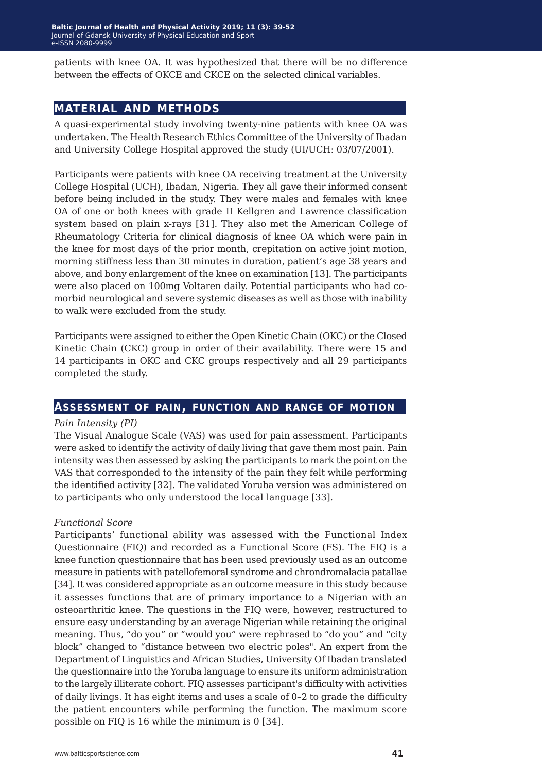patients with knee OA. It was hypothesized that there will be no difference between the effects of OKCE and CKCE on the selected clinical variables.

### **material and methods**

A quasi-experimental study involving twenty-nine patients with knee OA was undertaken. The Health Research Ethics Committee of the University of Ibadan and University College Hospital approved the study (UI/UCH: 03/07/2001).

Participants were patients with knee OA receiving treatment at the University College Hospital (UCH), Ibadan, Nigeria. They all gave their informed consent before being included in the study. They were males and females with knee OA of one or both knees with grade II Kellgren and Lawrence classification system based on plain x-rays [31]. They also met the American College of Rheumatology Criteria for clinical diagnosis of knee OA which were pain in the knee for most days of the prior month, crepitation on active joint motion, morning stiffness less than 30 minutes in duration, patient's age 38 years and above, and bony enlargement of the knee on examination [13]. The participants were also placed on 100mg Voltaren daily. Potential participants who had comorbid neurological and severe systemic diseases as well as those with inability to walk were excluded from the study.

Participants were assigned to either the Open Kinetic Chain (OKC) or the Closed Kinetic Chain (CKC) group in order of their availability. There were 15 and 14 participants in OKC and CKC groups respectively and all 29 participants completed the study.

### **assessment of pain, function and range of motion**

#### *Pain Intensity (PI)*

The Visual Analogue Scale (VAS) was used for pain assessment. Participants were asked to identify the activity of daily living that gave them most pain. Pain intensity was then assessed by asking the participants to mark the point on the VAS that corresponded to the intensity of the pain they felt while performing the identified activity [32]. The validated Yoruba version was administered on to participants who only understood the local language [33].

#### *Functional Score*

Participants' functional ability was assessed with the Functional Index Questionnaire (FIQ) and recorded as a Functional Score (FS). The FIQ is a knee function questionnaire that has been used previously used as an outcome measure in patients with patellofemoral syndrome and chrondromalacia patallae [34]. It was considered appropriate as an outcome measure in this study because it assesses functions that are of primary importance to a Nigerian with an osteoarthritic knee. The questions in the FIQ were, however, restructured to ensure easy understanding by an average Nigerian while retaining the original meaning. Thus, "do you" or "would you" were rephrased to "do you" and "city block" changed to "distance between two electric poles". An expert from the Department of Linguistics and African Studies, University Of Ibadan translated the questionnaire into the Yoruba language to ensure its uniform administration to the largely illiterate cohort. FIQ assesses participant's difficulty with activities of daily livings. It has eight items and uses a scale of 0–2 to grade the difficulty the patient encounters while performing the function. The maximum score possible on FIQ is 16 while the minimum is 0 [34].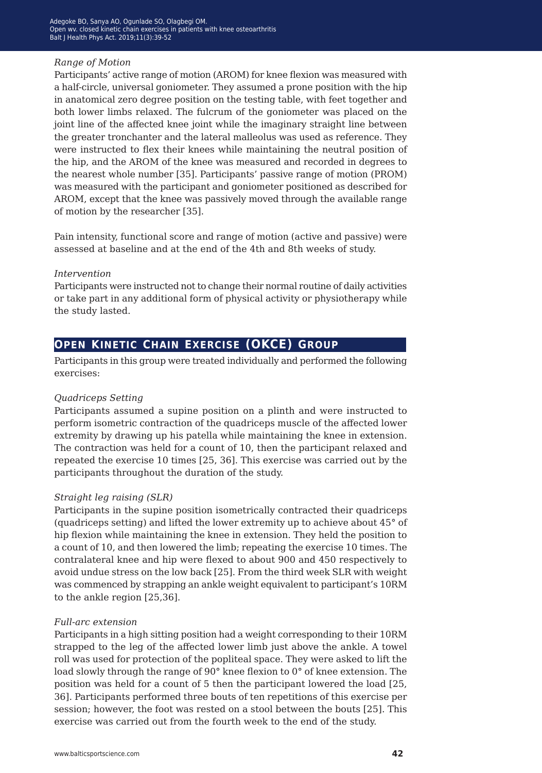#### *Range of Motion*

Participants' active range of motion (AROM) for knee flexion was measured with a half-circle, universal goniometer. They assumed a prone position with the hip in anatomical zero degree position on the testing table, with feet together and both lower limbs relaxed. The fulcrum of the goniometer was placed on the joint line of the affected knee joint while the imaginary straight line between the greater tronchanter and the lateral malleolus was used as reference. They were instructed to flex their knees while maintaining the neutral position of the hip, and the AROM of the knee was measured and recorded in degrees to the nearest whole number [35]. Participants' passive range of motion (PROM) was measured with the participant and goniometer positioned as described for AROM, except that the knee was passively moved through the available range of motion by the researcher [35].

Pain intensity, functional score and range of motion (active and passive) were assessed at baseline and at the end of the 4th and 8th weeks of study.

### *Intervention*

Participants were instructed not to change their normal routine of daily activities or take part in any additional form of physical activity or physiotherapy while the study lasted.

## **open kinetic chain exercise (OKCE) group**

Participants in this group were treated individually and performed the following exercises:

### *Quadriceps Setting*

Participants assumed a supine position on a plinth and were instructed to perform isometric contraction of the quadriceps muscle of the affected lower extremity by drawing up his patella while maintaining the knee in extension. The contraction was held for a count of 10, then the participant relaxed and repeated the exercise 10 times [25, 36]. This exercise was carried out by the participants throughout the duration of the study.

### *Straight leg raising (SLR)*

Participants in the supine position isometrically contracted their quadriceps (quadriceps setting) and lifted the lower extremity up to achieve about 45° of hip flexion while maintaining the knee in extension. They held the position to a count of 10, and then lowered the limb; repeating the exercise 10 times. The contralateral knee and hip were flexed to about 900 and 450 respectively to avoid undue stress on the low back [25]. From the third week SLR with weight was commenced by strapping an ankle weight equivalent to participant's 10RM to the ankle region [25,36].

#### *Full-arc extension*

Participants in a high sitting position had a weight corresponding to their 10RM strapped to the leg of the affected lower limb just above the ankle. A towel roll was used for protection of the popliteal space. They were asked to lift the load slowly through the range of 90° knee flexion to 0° of knee extension. The position was held for a count of 5 then the participant lowered the load [25, 36]. Participants performed three bouts of ten repetitions of this exercise per session; however, the foot was rested on a stool between the bouts [25]. This exercise was carried out from the fourth week to the end of the study.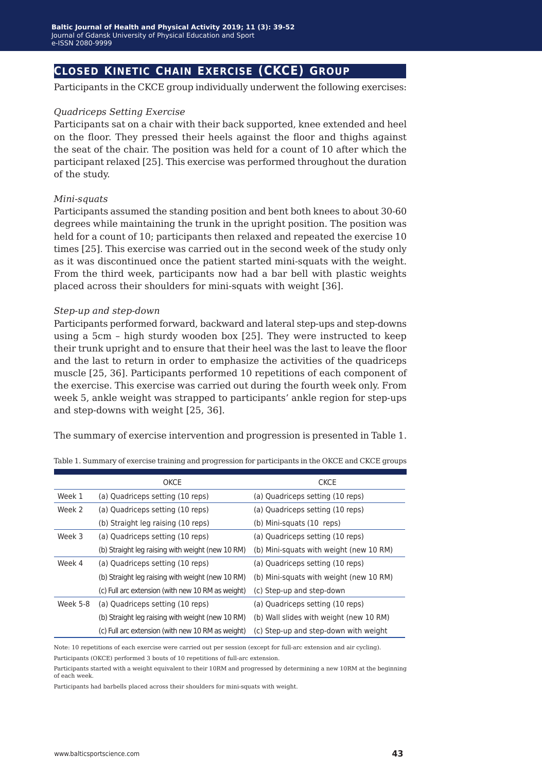### **closed kinetic chain exercise (CKCE) group**

Participants in the CKCE group individually underwent the following exercises:

#### *Quadriceps Setting Exercise*

Participants sat on a chair with their back supported, knee extended and heel on the floor. They pressed their heels against the floor and thighs against the seat of the chair. The position was held for a count of 10 after which the participant relaxed [25]. This exercise was performed throughout the duration of the study.

#### *Mini-squats*

Participants assumed the standing position and bent both knees to about 30-60 degrees while maintaining the trunk in the upright position. The position was held for a count of 10; participants then relaxed and repeated the exercise 10 times [25]. This exercise was carried out in the second week of the study only as it was discontinued once the patient started mini-squats with the weight. From the third week, participants now had a bar bell with plastic weights placed across their shoulders for mini-squats with weight [36].

#### *Step-up and step-down*

Participants performed forward, backward and lateral step-ups and step-downs using a 5cm – high sturdy wooden box [25]. They were instructed to keep their trunk upright and to ensure that their heel was the last to leave the floor and the last to return in order to emphasize the activities of the quadriceps muscle [25, 36]. Participants performed 10 repetitions of each component of the exercise. This exercise was carried out during the fourth week only. From week 5, ankle weight was strapped to participants' ankle region for step-ups and step-downs with weight [25, 36].

The summary of exercise intervention and progression is presented in Table 1.

|          | OKCE                                              | <b>CKCE</b>                             |
|----------|---------------------------------------------------|-----------------------------------------|
| Week 1   | (a) Quadriceps setting (10 reps)                  | (a) Quadriceps setting (10 reps)        |
| Week 2   | (a) Quadriceps setting (10 reps)                  | (a) Quadriceps setting (10 reps)        |
|          | (b) Straight leg raising (10 reps)                | (b) Mini-squats (10 reps)               |
| Week 3   | (a) Quadriceps setting (10 reps)                  | (a) Quadriceps setting (10 reps)        |
|          | (b) Straight leg raising with weight (new 10 RM)  | (b) Mini-squats with weight (new 10 RM) |
| Week 4   | (a) Quadriceps setting (10 reps)                  | (a) Quadriceps setting (10 reps)        |
|          | (b) Straight leg raising with weight (new 10 RM)  | (b) Mini-squats with weight (new 10 RM) |
|          | (c) Full arc extension (with new 10 RM as weight) | (c) Step-up and step-down               |
| Week 5-8 | (a) Quadriceps setting (10 reps)                  | (a) Quadriceps setting (10 reps)        |
|          | (b) Straight leg raising with weight (new 10 RM)  | (b) Wall slides with weight (new 10 RM) |
|          | (c) Full arc extension (with new 10 RM as weight) | (c) Step-up and step-down with weight   |

Table 1. Summary of exercise training and progression for participants in the OKCE and CKCE groups

Note: 10 repetitions of each exercise were carried out per session (except for full-arc extension and air cycling).

Participants (OKCE) performed 3 bouts of 10 repetitions of full-arc extension.

Participants started with a weight equivalent to their 10RM and progressed by determining a new 10RM at the beginning of each week.

Participants had barbells placed across their shoulders for mini-squats with weight.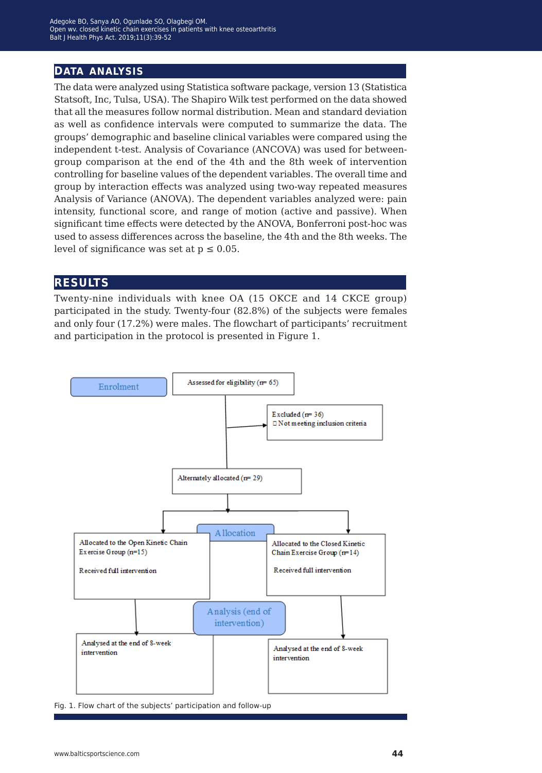### **data analysis**

The data were analyzed using Statistica software package, version 13 (Statistica Statsoft, Inc, Tulsa, USA). The Shapiro Wilk test performed on the data showed that all the measures follow normal distribution. Mean and standard deviation as well as confidence intervals were computed to summarize the data. The groups' demographic and baseline clinical variables were compared using the independent t-test. Analysis of Covariance (ANCOVA) was used for betweengroup comparison at the end of the 4th and the 8th week of intervention controlling for baseline values of the dependent variables. The overall time and group by interaction effects was analyzed using two-way repeated measures Analysis of Variance (ANOVA). The dependent variables analyzed were: pain intensity, functional score, and range of motion (active and passive). When significant time effects were detected by the ANOVA, Bonferroni post-hoc was used to assess differences across the baseline, the 4th and the 8th weeks. The level of significance was set at  $p \leq 0.05$ .

### **results**

Twenty-nine individuals with knee OA (15 OKCE and 14 CKCE group) participated in the study. Twenty-four (82.8%) of the subjects were females and only four (17.2%) were males. The flowchart of participants' recruitment and participation in the protocol is presented in Figure 1.



Fig. 1. Flow chart of the subjects' participation and follow-up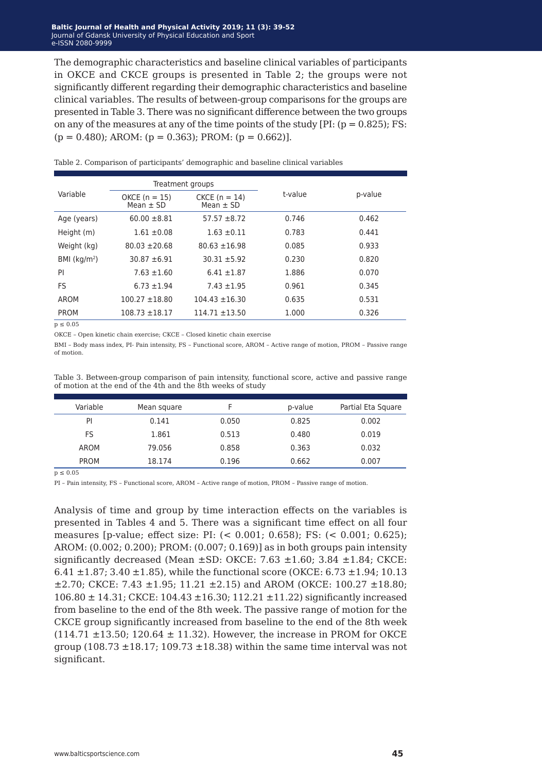The demographic characteristics and baseline clinical variables of participants in OKCE and CKCE groups is presented in Table 2; the groups were not significantly different regarding their demographic characteristics and baseline clinical variables. The results of between-group comparisons for the groups are presented in Table 3. There was no significant difference between the two groups on any of the measures at any of the time points of the study  $[PI: (p = 0.825); FS:$  $(p = 0.480)$ : AROM:  $(p = 0.363)$ : PROM:  $(p = 0.662)$ ].

|               | Treatment groups                 |                                  |         |         |
|---------------|----------------------------------|----------------------------------|---------|---------|
| Variable      | $OKCE (n = 15)$<br>Mean $\pm$ SD | $CKCE (n = 14)$<br>Mean $\pm$ SD | t-value | p-value |
| Age (years)   | $60.00 \pm 8.81$                 | $57.57 \pm 8.72$                 | 0.746   | 0.462   |
| Height (m)    | $1.61 \pm 0.08$                  | $1.63 \pm 0.11$                  | 0.783   | 0.441   |
| Weight (kg)   | $80.03 \pm 20.68$                | $80.63 \pm 16.98$                | 0.085   | 0.933   |
| BMI $(kq/m2)$ | $30.87 + 6.91$                   | $30.31 + 5.92$                   | 0.230   | 0.820   |
| PI            | $7.63 \pm 1.60$                  | $6.41 \pm 1.87$                  | 1.886   | 0.070   |
| <b>FS</b>     | $6.73 \pm 1.94$                  | $7.43 \pm 1.95$                  | 0.961   | 0.345   |
| AROM          | $100.27 \pm 18.80$               | $104.43 \pm 16.30$               | 0.635   | 0.531   |
| <b>PROM</b>   | $108.73 \pm 18.17$               | $114.71 \pm 13.50$               | 1.000   | 0.326   |

Table 2. Comparison of participants' demographic and baseline clinical variables

 $p \leq 0.05$ 

OKCE – Open kinetic chain exercise; CKCE – Closed kinetic chain exercise

BMI – Body mass index, PI- Pain intensity, FS – Functional score, AROM – Active range of motion, PROM – Passive range of motion.

Table 3. Between-group comparison of pain intensity, functional score, active and passive range of motion at the end of the 4th and the 8th weeks of study

| Variable    | Mean square |       | p-value | Partial Eta Square |
|-------------|-------------|-------|---------|--------------------|
| PI          | 0.141       | 0.050 | 0.825   | 0.002              |
| FS          | 1.861       | 0.513 | 0.480   | 0.019              |
| AROM        | 79.056      | 0.858 | 0.363   | 0.032              |
| <b>PROM</b> | 18.174      | 0.196 | 0.662   | 0.007              |

 $p \leq 0.05$ 

PI – Pain intensity, FS – Functional score, AROM – Active range of motion, PROM – Passive range of motion.

Analysis of time and group by time interaction effects on the variables is presented in Tables 4 and 5. There was a significant time effect on all four measures [p-value; effect size: PI: (< 0.001; 0.658); FS: (< 0.001; 0.625); AROM: (0.002; 0.200); PROM: (0.007; 0.169)] as in both groups pain intensity significantly decreased (Mean  $\pm$ SD: OKCE: 7.63  $\pm$ 1.60; 3.84  $\pm$ 1.84; CKCE: 6.41  $\pm$ 1.87; 3.40  $\pm$ 1.85), while the functional score (OKCE: 6.73  $\pm$ 1.94; 10.13  $\pm$ 2.70; CKCE: 7.43  $\pm$ 1.95; 11.21  $\pm$ 2.15) and AROM (OKCE: 100.27  $\pm$ 18.80;  $106.80 \pm 14.31$ ; CKCE:  $104.43 \pm 16.30$ ;  $112.21 \pm 11.22$ ) significantly increased from baseline to the end of the 8th week. The passive range of motion for the CKCE group significantly increased from baseline to the end of the 8th week  $(114.71 \pm 13.50; 120.64 \pm 11.32)$ . However, the increase in PROM for OKCE group (108.73  $\pm$ 18.17; 109.73  $\pm$ 18.38) within the same time interval was not significant.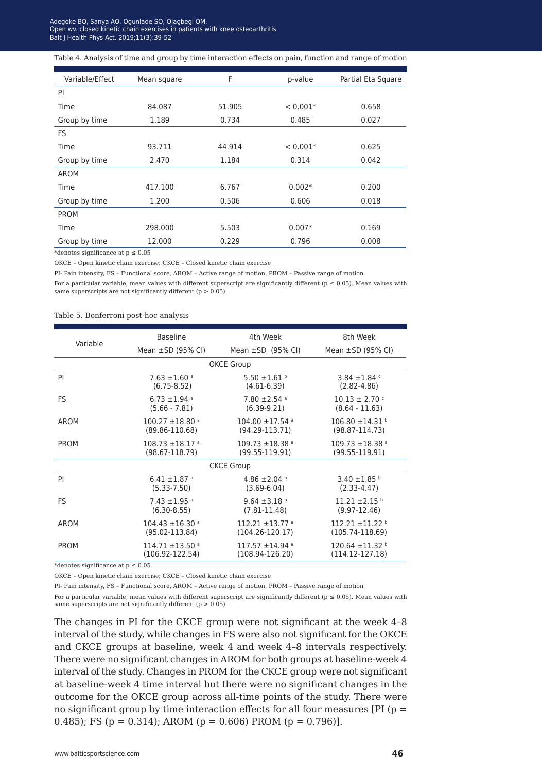Open wv. closed kinetic chain exercises in patients with knee osteoarthritis .<br>alt I Health Phys Act. 2019:11(3):39-52 Balt J Health Phys Act. 2019;11(3):39-52<br> Adegoke BO, Sanya AO, Ogunlade SO, Olagbegi OM.

Table 4. Analysis of time and group by time interaction effects on pain, function and range of motion

| Variable/Effect                        | Mean square | F      | p-value    | Partial Eta Square |
|----------------------------------------|-------------|--------|------------|--------------------|
| PI                                     |             |        |            |                    |
| Time                                   | 84.087      | 51.905 | $< 0.001*$ | 0.658              |
| Group by time                          | 1.189       | 0.734  | 0.485      | 0.027              |
| <b>FS</b>                              |             |        |            |                    |
| Time                                   | 93.711      | 44.914 | $< 0.001*$ | 0.625              |
| Group by time                          | 2.470       | 1.184  | 0.314      | 0.042              |
| AROM                                   |             |        |            |                    |
| Time                                   | 417.100     | 6.767  | $0.002*$   | 0.200              |
| Group by time                          | 1.200       | 0.506  | 0.606      | 0.018              |
| <b>PROM</b>                            |             |        |            |                    |
| Time                                   | 298,000     | 5.503  | $0.007*$   | 0.169              |
| Group by time                          | 12.000      | 0.229  | 0.796      | 0.008              |
| *denotes significance at $p \leq 0.05$ |             |        |            |                    |

OKCE – Open kinetic chain exercise; CKCE – Closed kinetic chain exercise

PI- Pain intensity, FS – Functional score, AROM – Active range of motion, PROM – Passive range of motion

For a particular variable, mean values with different superscript are significantly different ( $p \le 0.05$ ). Mean values with same superscripts are not significantly different ( $p > 0.05$ ).

#### Table 5. Bonferroni post-hoc analysis

|                   | <b>Baseline</b>                 | 4th Week                        | 8th Week                      |  |
|-------------------|---------------------------------|---------------------------------|-------------------------------|--|
| Variable          | Mean $\pm$ SD (95% CI)          | Mean $\pm$ SD (95% CI)          | Mean $\pm$ SD (95% CI)        |  |
| <b>OKCE Group</b> |                                 |                                 |                               |  |
| PI                | $7.63 \pm 1.60$ <sup>a</sup>    | 5.50 $\pm$ 1.61 b               | 3.84 $\pm$ 1.84 $\degree$     |  |
|                   | $(6.75 - 8.52)$                 | $(4.61-6.39)$                   | $(2.82 - 4.86)$               |  |
| FS                | 6.73 $\pm$ 1.94 a               | 7.80 $\pm$ 2.54 a               | $10.13 \pm 2.70$ c            |  |
|                   | $(5.66 - 7.81)$                 | $(6.39-9.21)$                   | $(8.64 - 11.63)$              |  |
| AROM              | $100.27 \pm 18.80$ <sup>a</sup> | $104.00 \pm 17.54$ <sup>a</sup> | $106.80 \pm 14.31$            |  |
|                   | $(89.86 - 110.68)$              | $(94.29 - 113.71)$              | $(98.87 - 114.73)$            |  |
| <b>PROM</b>       | $108.73 \pm 18.17$ <sup>a</sup> | $109.73 + 18.38$ <sup>a</sup>   | $109.73 + 18.38$ <sup>a</sup> |  |
|                   | $(98.67 - 118.79)$              | $(99.55 - 119.91)$              | $(99.55 - 119.91)$            |  |
| <b>CKCE Group</b> |                                 |                                 |                               |  |
| PI                | 6.41 $\pm$ 1.87 $\degree$       | 4.86 $\pm$ 2.04 b               | 3.40 $\pm$ 1.85 $\degree$     |  |
|                   | $(5.33 - 7.50)$                 | $(3.69 - 6.04)$                 | $(2.33 - 4.47)$               |  |
| FS                | $7.43 \pm 1.95$ <sup>a</sup>    | 9.64 $\pm$ 3.18 b               | $11.21 \pm 2.15$ <sup>b</sup> |  |
|                   | $(6.30 - 8.55)$                 | $(7.81 - 11.48)$                | $(9.97 - 12.46)$              |  |
| AROM              | $104.43 \pm 16.30$ <sup>a</sup> | $112.21 + 13.77$ <sup>a</sup>   | $112.21 + 11.22$              |  |
|                   | $(95.02 - 113.84)$              | $(104.26 - 120.17)$             | $(105.74 - 118.69)$           |  |
| <b>PROM</b>       | $114.71 \pm 13.50$ <sup>a</sup> | $117.57 + 14.94$ <sup>a</sup>   | $120.64 \pm 11.32$            |  |
|                   | $(106.92 - 122.54)$             | $(108.94 - 126.20)$             | $(114.12 - 127.18)$           |  |

\*denotes significance at  $p\leq 0.05$ 

OKCE – Open kinetic chain exercise; CKCE – Closed kinetic chain exercise

PI- Pain intensity, FS – Functional score, AROM – Active range of motion, PROM – Passive range of motion

For a particular variable, mean values with different superscript are significantly different ( $p \le 0.05$ ). Mean values with same superscripts are not significantly different ( $p > 0.05$ ).

The changes in PI for the CKCE group were not significant at the week 4–8 interval of the study, while changes in FS were also not significant for the OKCE and CKCE groups at baseline, week 4 and week 4–8 intervals respectively. There were no significant changes in AROM for both groups at baseline-week 4 interval of the study. Changes in PROM for the CKCE group were not significant at baseline-week 4 time interval but there were no significant changes in the outcome for the OKCE group across all-time points of the study. There were no significant group by time interaction effects for all four measures [PI ( $p =$ 0.485); FS ( $p = 0.314$ ); AROM ( $p = 0.606$ ) PROM ( $p = 0.796$ )].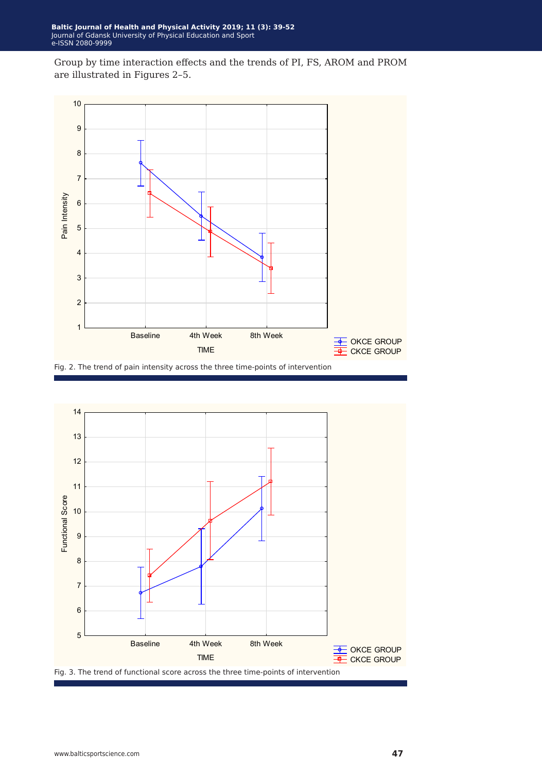Group by time interaction effects and the trends of PI, FS, AROM and PROM are illustrated in Figures 2–5.





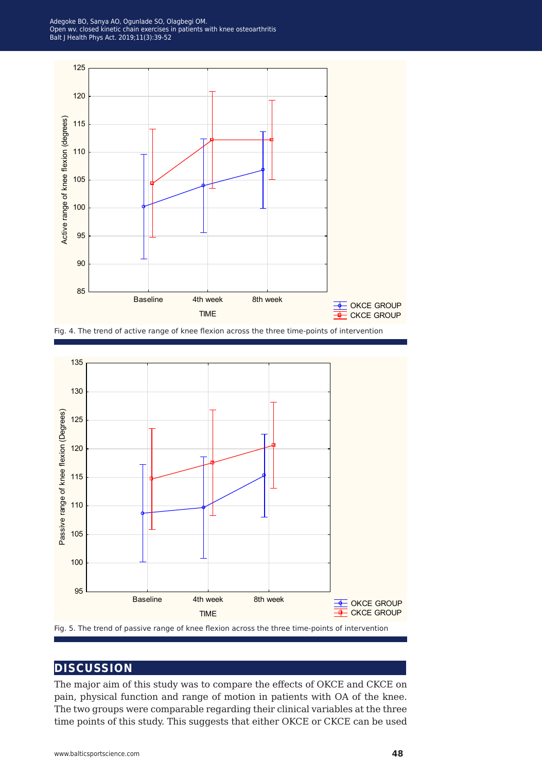Adegoke BO, Sanya AO, Ogunlade SO, Olagbegi OM.<br>Onen wy, closed kinetic chain exercises in natients with knee osteoarthritis. .<br>alt I Health Phys Act. 2019:11(3):39-52 Balt J Health Phys Act. 2019;11(3):39-52<br> Open wv. closed kinetic chain exercises in patients with knee osteoarthritis



Fig. 4. The trend of active range of knee flexion across the three time-points of intervention



### **discussion**

The major aim of this study was to compare the effects of OKCE and CKCE on pain, physical function and range of motion in patients with OA of the knee. The two groups were comparable regarding their clinical variables at the three time points of this study. This suggests that either OKCE or CKCE can be used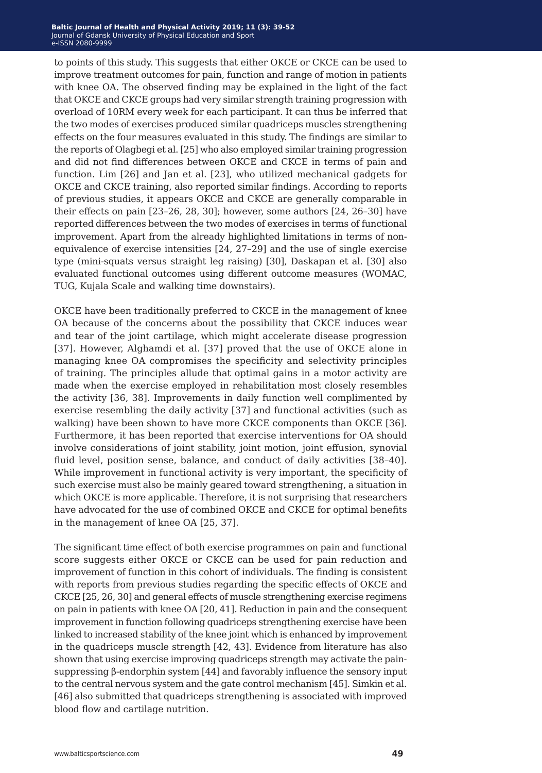to points of this study. This suggests that either OKCE or CKCE can be used to improve treatment outcomes for pain, function and range of motion in patients with knee OA. The observed finding may be explained in the light of the fact that OKCE and CKCE groups had very similar strength training progression with overload of 10RM every week for each participant. It can thus be inferred that the two modes of exercises produced similar quadriceps muscles strengthening effects on the four measures evaluated in this study. The findings are similar to the reports of Olagbegi et al. [25] who also employed similar training progression and did not find differences between OKCE and CKCE in terms of pain and function. Lim [26] and Jan et al. [23], who utilized mechanical gadgets for OKCE and CKCE training, also reported similar findings. According to reports of previous studies, it appears OKCE and CKCE are generally comparable in their effects on pain [23–26, 28, 30]; however, some authors [24, 26–30] have reported differences between the two modes of exercises in terms of functional improvement. Apart from the already highlighted limitations in terms of nonequivalence of exercise intensities [24, 27–29] and the use of single exercise type (mini-squats versus straight leg raising) [30], Daskapan et al. [30] also evaluated functional outcomes using different outcome measures (WOMAC, TUG, Kujala Scale and walking time downstairs).

OKCE have been traditionally preferred to CKCE in the management of knee OA because of the concerns about the possibility that CKCE induces wear and tear of the joint cartilage, which might accelerate disease progression [37]. However, Alghamdi et al. [37] proved that the use of OKCE alone in managing knee OA compromises the specificity and selectivity principles of training. The principles allude that optimal gains in a motor activity are made when the exercise employed in rehabilitation most closely resembles the activity [36, 38]. Improvements in daily function well complimented by exercise resembling the daily activity [37] and functional activities (such as walking) have been shown to have more CKCE components than OKCE [36]. Furthermore, it has been reported that exercise interventions for OA should involve considerations of joint stability, joint motion, joint effusion, synovial fluid level, position sense, balance, and conduct of daily activities [38–40]. While improvement in functional activity is very important, the specificity of such exercise must also be mainly geared toward strengthening, a situation in which OKCE is more applicable. Therefore, it is not surprising that researchers have advocated for the use of combined OKCE and CKCE for optimal benefits in the management of knee OA [25, 37].

The significant time effect of both exercise programmes on pain and functional score suggests either OKCE or CKCE can be used for pain reduction and improvement of function in this cohort of individuals. The finding is consistent with reports from previous studies regarding the specific effects of OKCE and CKCE [25, 26, 30] and general effects of muscle strengthening exercise regimens on pain in patients with knee OA [20, 41]. Reduction in pain and the consequent improvement in function following quadriceps strengthening exercise have been linked to increased stability of the knee joint which is enhanced by improvement in the quadriceps muscle strength [42, 43]. Evidence from literature has also shown that using exercise improving quadriceps strength may activate the painsuppressing β-endorphin system [44] and favorably influence the sensory input to the central nervous system and the gate control mechanism [45]. Simkin et al. [46] also submitted that quadriceps strengthening is associated with improved blood flow and cartilage nutrition.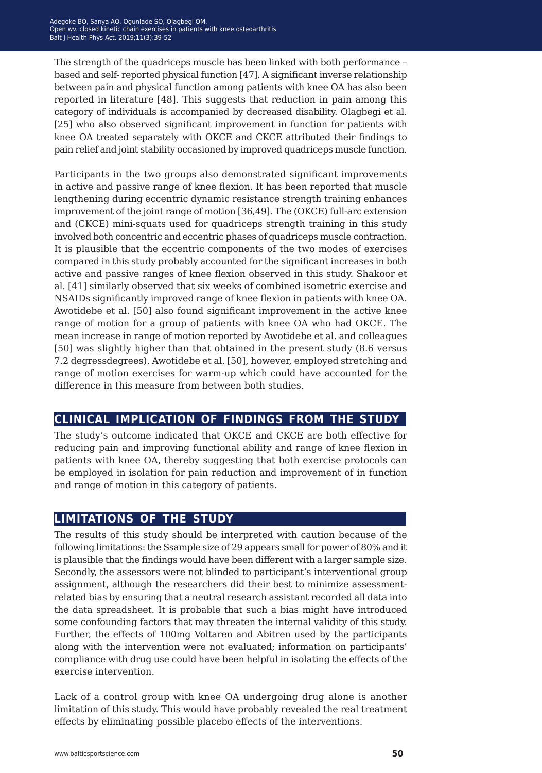The strength of the quadriceps muscle has been linked with both performance – based and self- reported physical function [47]. A significant inverse relationship between pain and physical function among patients with knee OA has also been reported in literature [48]. This suggests that reduction in pain among this category of individuals is accompanied by decreased disability. Olagbegi et al. [25] who also observed significant improvement in function for patients with knee OA treated separately with OKCE and CKCE attributed their findings to pain relief and joint stability occasioned by improved quadriceps muscle function.

Participants in the two groups also demonstrated significant improvements in active and passive range of knee flexion. It has been reported that muscle lengthening during eccentric dynamic resistance strength training enhances improvement of the joint range of motion [36,49]. The (OKCE) full-arc extension and (CKCE) mini-squats used for quadriceps strength training in this study involved both concentric and eccentric phases of quadriceps muscle contraction. It is plausible that the eccentric components of the two modes of exercises compared in this study probably accounted for the significant increases in both active and passive ranges of knee flexion observed in this study. Shakoor et al. [41] similarly observed that six weeks of combined isometric exercise and NSAIDs significantly improved range of knee flexion in patients with knee OA. Awotidebe et al. [50] also found significant improvement in the active knee range of motion for a group of patients with knee OA who had OKCE. The mean increase in range of motion reported by Awotidebe et al. and colleagues [50] was slightly higher than that obtained in the present study (8.6 versus 7.2 degressdegrees). Awotidebe et al. [50], however, employed stretching and range of motion exercises for warm-up which could have accounted for the difference in this measure from between both studies.

### **clinical implication of findings from the study**

The study's outcome indicated that OKCE and CKCE are both effective for reducing pain and improving functional ability and range of knee flexion in patients with knee OA, thereby suggesting that both exercise protocols can be employed in isolation for pain reduction and improvement of in function and range of motion in this category of patients.

### **limitations of the study**

The results of this study should be interpreted with caution because of the following limitations: the Ssample size of 29 appears small for power of 80% and it is plausible that the findings would have been different with a larger sample size. Secondly, the assessors were not blinded to participant's interventional group assignment, although the researchers did their best to minimize assessmentrelated bias by ensuring that a neutral research assistant recorded all data into the data spreadsheet. It is probable that such a bias might have introduced some confounding factors that may threaten the internal validity of this study. Further, the effects of 100mg Voltaren and Abitren used by the participants along with the intervention were not evaluated; information on participants' compliance with drug use could have been helpful in isolating the effects of the exercise intervention.

Lack of a control group with knee OA undergoing drug alone is another limitation of this study. This would have probably revealed the real treatment effects by eliminating possible placebo effects of the interventions.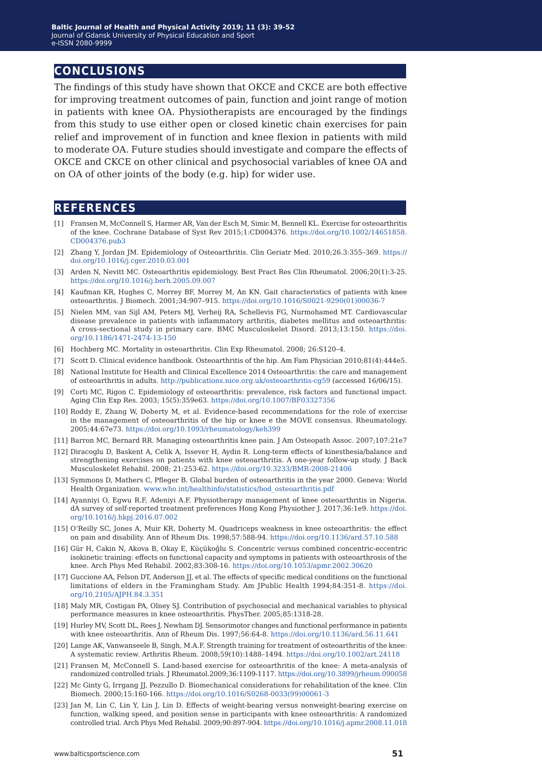### **conclusions**

The findings of this study have shown that OKCE and CKCE are both effective for improving treatment outcomes of pain, function and joint range of motion in patients with knee OA. Physiotherapists are encouraged by the findings from this study to use either open or closed kinetic chain exercises for pain relief and improvement of in function and knee flexion in patients with mild to moderate OA. Future studies should investigate and compare the effects of OKCE and CKCE on other clinical and psychosocial variables of knee OA and on OA of other joints of the body (e.g. hip) for wider use.

### **references**

- [1] Fransen M, McConnell S, Harmer AR, Van der Esch M, Simic M, Bennell KL. Exercise for osteoarthritis of the knee. Cochrane Database of Syst Rev 2015;1:CD004376. [https://doi.org/10.1002/14651858.](https://doi.org/10.1002/14651858.CD004376.pub3) [CD004376.pub3](https://doi.org/10.1002/14651858.CD004376.pub3)
- [2] Zhang Y, Jordan JM. Epidemiology of Osteoarthritis. Clin Geriatr Med. 2010;26.3:355–369. [https://](https://doi.org/10.1016/j.cger.2010.03.001) [doi.org/10.1016/j.cger.2010.03.001](https://doi.org/10.1016/j.cger.2010.03.001)
- [3] Arden N, Nevitt MC. Osteoarthritis epidemiology. Best Pract Res Clin Rheumatol. 2006;20(1):3-25. <https://doi.org/10.1016/j.berh.2005.09.007>
- [4] Kaufman KR, Hughes C, Morrey BF, Morrey M, An KN. Gait characteristics of patients with knee osteoarthritis. J Biomech. 2001;34:907–915. [https://doi.org/10.1016/S0021-9290\(01\)00036-7](https://doi.org/10.1016/S0021-9290(01)00036-7)
- [5] Nielen MM, van Sijl AM, Peters MJ, Verheij RA, Schellevis FG, Nurmohamed MT. Cardiovascular disease prevalence in patients with inflammatory arthritis, diabetes mellitus and osteoarthritis: A cross-sectional study in primary care. BMC Musculoskelet Disord. 2013;13:150. [https://doi.](https://doi.org/10.1186/1471-2474-13-150) [org/10.1186/1471-2474-13-150](https://doi.org/10.1186/1471-2474-13-150)
- [6] Hochberg MC. Mortality in osteoarthritis. Clin Exp Rheumatol. 2008; 26:S120–4.
- [7] Scott D. Clinical evidence handbook. Osteoarthritis of the hip. Am Fam Physician 2010;81(4):444e5.
- [8] National Institute for Health and Clinical Excellence 2014 Osteoarthritis: the care and management of osteoarthritis in adults.<http://publications.nice.org.uk/osteoarthritis-cg59> (accessed 16/06/15).
- [9] Corti MC, Rigon C. Epidemiology of osteoarthritis: prevalence, risk factors and functional impact. Aging Clin Exp Res. 2003; 15(5):359e63. <https://doi.org/10.1007/BF03327356>
- [10] Roddy E, Zhang W, Doherty M, et al. Evidence-based recommendations for the role of exercise in the management of osteoarthritis of the hip or knee e the MOVE consensus. Rheumatology. 2005;44:67e73. <https://doi.org/10.1093/rheumatology/keh399>
- [11] Barron MC, Bernard RR. Managing osteoarthritis knee pain. J Am Osteopath Assoc. 2007;107:21e7
- [12] Diracoglu D, Baskent A, Celik A, Issever H, Aydin R. Long-term effects of kinesthesia/balance and strengthening exercises on patients with knee osteoarthritis. A one-year follow-up study. J Back Musculoskelet Rehabil. 2008; 21:253-62.<https://doi.org/10.3233/BMR-2008-21406>
- [13] Symmons D, Mathers C, Pfleger B. Global burden of osteoarthritis in the year 2000. Geneva: World Health Organization. [www.who.int/healthinfo/statistics/bod\\_osteoarthritis.pdf](www.who.int/healthinfo/statistics/bod_osteoarthritis.pdf)
- [14] Ayanniyi O, Egwu R.F, Adeniyi A.F. Physiotherapy management of knee osteoarthritis in Nigeria. dA survey of self-reported treatment preferences Hong Kong Physiother J. 2017;36:1e9. [https://doi.](https://doi.org/10.1016/j.hkpj.2016.07.002) [org/10.1016/j.hkpj.2016.07.002](https://doi.org/10.1016/j.hkpj.2016.07.002)
- [15] O'Reilly SC, Jones A, Muir KR, Doherty M. Quadriceps weakness in knee osteoarthritis: the effect on pain and disability. Ann of Rheum Dis. 1998;57:588-94. <https://doi.org/10.1136/ard.57.10.588>
- [16] Gür H, Cakin N, Akova B, Okay E, Küçükoğlu S. Concentric versus combined concentric-eccentric isokinetic training: effects on functional capacity and symptoms in patients with osteoarthrosis of the knee. Arch Phys Med Rehabil. 2002;83:308-16.<https://doi.org/10.1053/apmr.2002.30620>
- [17] Guccione AA, Felson DT, Anderson JJ, et al. The effects of specific medical conditions on the functional limitations of elders in the Framingham Study. Am JPublic Health 1994;84:351-8. [https://doi.](https://doi.org/10.2105/AJPH.84.3.351) [org/10.2105/AJPH.84.3.351](https://doi.org/10.2105/AJPH.84.3.351)
- [18] Maly MR, Costigan PA, Olney SJ. Contribution of psychosocial and mechanical variables to physical performance measures in knee osteoarthritis. PhysTher. 2005;85:1318-28.
- [19] Hurley MV, Scott DL, Rees J, Newham DJ. Sensorimotor changes and functional performance in patients with knee osteoarthritis. Ann of Rheum Dis. 1997;56:64-8. <https://doi.org/10.1136/ard.56.11.641>
- [20] [Lange AK, Vanwanseele B, Singh, M.A.F. Strength training for treatment of osteoarthritis of the knee:](https://doi.org/10.1136/ard.56.11.641)  [A systematic review. Arthritis Rheum. 2008;59\(10\):1488–1494. https://doi.org/10.1002/art.24118](https://doi.org/10.1136/ard.56.11.641)
- [21] [Fransen M, McConnell S. Land-based exercise for osteoarthritis of the knee: A meta-analysis of](https://doi.org/10.1136/ard.56.11.641)  [randomized controlled trials. J Rheumatol.2009;36:1109-1117. https://doi.org/10.3899/jrheum.090058](https://doi.org/10.1136/ard.56.11.641)
- [22] [Mc Ginty G, Irrgang JJ, Pezzullo D. Biomechanical considerations for rehabilitation of the knee. Clin](https://doi.org/10.1136/ard.56.11.641)  [Biomech. 2000;15:160-166. https://doi.org/10.1016/S0268-0033\(99\)00061-3](https://doi.org/10.1136/ard.56.11.641)
- [23] [Jan M, Lin C, Lin Y, Lin J, Lin D. Effects of weight-bearing versus nonweight-bearing exercise on](https://doi.org/10.1136/ard.56.11.641)  [function, walking speed, and position sense in participants with knee osteoarthritis: A randomized](https://doi.org/10.1136/ard.56.11.641)  [controlled trial. Arch Phys Med Rehabil. 2009;90:897-904. https://doi.org/10.1016/j.apmr.2008.11.018](https://doi.org/10.1136/ard.56.11.641)